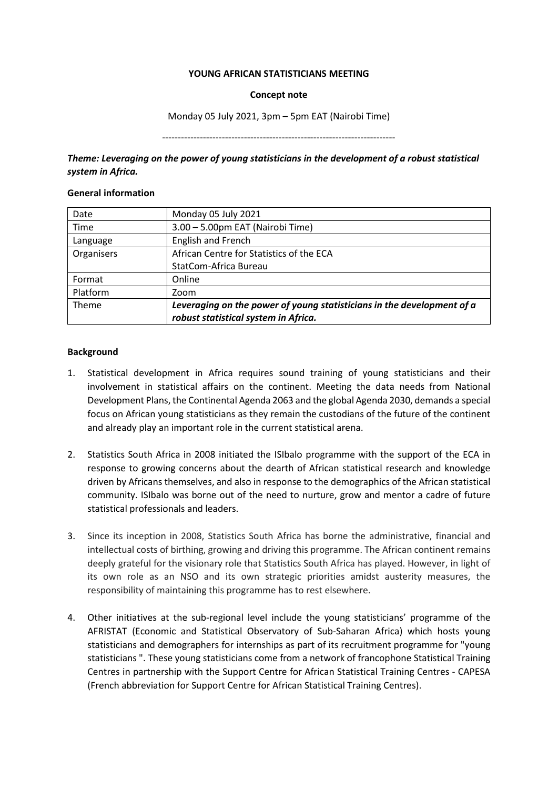#### **YOUNG AFRICAN STATISTICIANS MEETING**

#### **Concept note**

Monday 05 July 2021, 3pm – 5pm EAT (Nairobi Time)

--------------------------------------------------------------------------

*Theme: Leveraging on the power of young statisticians in the development of a robust statistical system in Africa.*

### **General information**

| Date       | Monday 05 July 2021                                                    |
|------------|------------------------------------------------------------------------|
| Time       | 3.00 - 5.00pm EAT (Nairobi Time)                                       |
| Language   | English and French                                                     |
| Organisers | African Centre for Statistics of the ECA                               |
|            | StatCom-Africa Bureau                                                  |
| Format     | Online                                                                 |
| Platform   | Zoom                                                                   |
| Theme      | Leveraging on the power of young statisticians in the development of a |
|            | robust statistical system in Africa.                                   |

## **Background**

- 1. Statistical development in Africa requires sound training of young statisticians and their involvement in statistical affairs on the continent. Meeting the data needs from National Development Plans, the Continental Agenda 2063 and the global Agenda 2030, demands a special focus on African young statisticians as they remain the custodians of the future of the continent and already play an important role in the current statistical arena.
- 2. Statistics South Africa in 2008 initiated the ISIbalo programme with the support of the ECA in response to growing concerns about the dearth of African statistical research and knowledge driven by Africans themselves, and also in response to the demographics of the African statistical community. ISIbalo was borne out of the need to nurture, grow and mentor a cadre of future statistical professionals and leaders.
- 3. Since its inception in 2008, Statistics South Africa has borne the administrative, financial and intellectual costs of birthing, growing and driving this programme. The African continent remains deeply grateful for the visionary role that Statistics South Africa has played. However, in light of its own role as an NSO and its own strategic priorities amidst austerity measures, the responsibility of maintaining this programme has to rest elsewhere.
- 4. Other initiatives at the sub-regional level include the young statisticians' programme of the AFRISTAT (Economic and Statistical Observatory of Sub-Saharan Africa) which hosts young statisticians and demographers for internships as part of its recruitment programme for "young statisticians ". These young statisticians come from a network of francophone Statistical Training Centres in partnership with the Support Centre for African Statistical Training Centres - CAPESA (French abbreviation for Support Centre for African Statistical Training Centres).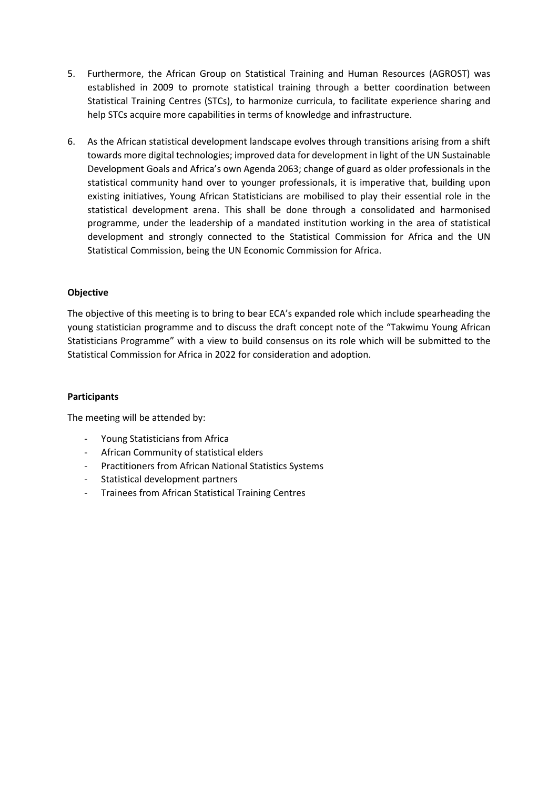- 5. Furthermore, the African Group on Statistical Training and Human Resources (AGROST) was established in 2009 to promote statistical training through a better coordination between Statistical Training Centres (STCs), to harmonize curricula, to facilitate experience sharing and help STCs acquire more capabilities in terms of knowledge and infrastructure.
- 6. As the African statistical development landscape evolves through transitions arising from a shift towards more digital technologies; improved data for development in light of the UN Sustainable Development Goals and Africa's own Agenda 2063; change of guard as older professionals in the statistical community hand over to younger professionals, it is imperative that, building upon existing initiatives, Young African Statisticians are mobilised to play their essential role in the statistical development arena. This shall be done through a consolidated and harmonised programme, under the leadership of a mandated institution working in the area of statistical development and strongly connected to the Statistical Commission for Africa and the UN Statistical Commission, being the UN Economic Commission for Africa.

## **Objective**

The objective of this meeting is to bring to bear ECA's expanded role which include spearheading the young statistician programme and to discuss the draft concept note of the "Takwimu Young African Statisticians Programme" with a view to build consensus on its role which will be submitted to the Statistical Commission for Africa in 2022 for consideration and adoption.

## **Participants**

The meeting will be attended by:

- Young Statisticians from Africa
- African Community of statistical elders
- Practitioners from African National Statistics Systems
- Statistical development partners
- Trainees from African Statistical Training Centres